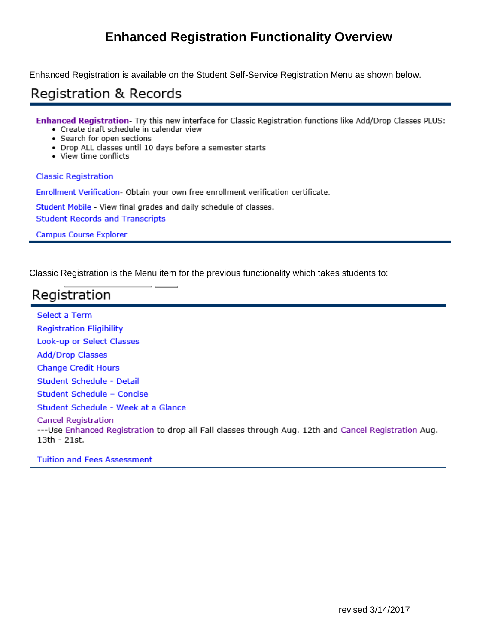# **Enhanced Registration Functionality Overview**

Enhanced Registration is available on the Student Self-Service Registration Menu as shown below.

## **Registration & Records**

Enhanced Registration- Try this new interface for Classic Registration functions like Add/Drop Classes PLUS:

- Create draft schedule in calendar view
- · Search for open sections
- · Drop ALL classes until 10 days before a semester starts
- · View time conflicts

#### **Classic Registration**

Enrollment Verification- Obtain your own free enrollment verification certificate.

Student Mobile - View final grades and daily schedule of classes.

**Student Records and Transcripts** 

**Campus Course Explorer** 

Classic Registration is the Menu item for the previous functionality which takes students to:

# Registration

**Select a Term Registration Eligibility** Look-up or Select Classes **Add/Drop Classes Change Credit Hours** Student Schedule - Detail Student Schedule - Concise Student Schedule - Week at a Glance **Cancel Registration** ---Use Enhanced Registration to drop all Fall classes through Aug. 12th and Cancel Registration Aug. 13th - 21st.

**Tuition and Fees Assessment**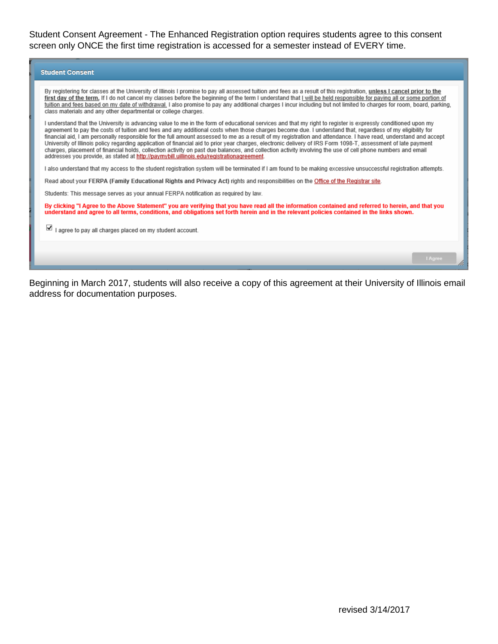Student Consent Agreement - The Enhanced Registration option requires students agree to this consent screen only ONCE the first time registration is accessed for a semester instead of EVERY time.

| <b>Student Consent</b>                                                                                                                                                                                                                                                                                                                                                                                                                                                                                                                                                                                                                                                                                                                                                                                                                                                                                                     |
|----------------------------------------------------------------------------------------------------------------------------------------------------------------------------------------------------------------------------------------------------------------------------------------------------------------------------------------------------------------------------------------------------------------------------------------------------------------------------------------------------------------------------------------------------------------------------------------------------------------------------------------------------------------------------------------------------------------------------------------------------------------------------------------------------------------------------------------------------------------------------------------------------------------------------|
| By registering for classes at the University of Illinois I promise to pay all assessed tuition and fees as a result of this registration, unless I cancel prior to the<br>first day of the term. If I do not cancel my classes before the beginning of the term I understand that I will be held responsible for paying all or some portion of<br>tuition and fees based on my date of withdrawal. I also promise to pay any additional charges I incur including but not limited to charges for room, board, parking,<br>class materials and any other departmental or college charges.                                                                                                                                                                                                                                                                                                                                   |
| I understand that the University is advancing value to me in the form of educational services and that my right to register is expressly conditioned upon my<br>agreement to pay the costs of tuition and fees and any additional costs when those charges become due. I understand that, regardless of my eligibility for<br>financial aid, I am personally responsible for the full amount assessed to me as a result of my registration and attendance. I have read, understand and accept<br>University of Illinois policy regarding application of financial aid to prior year charges, electronic delivery of IRS Form 1098-T, assessment of late payment<br>charges, placement of financial holds, collection activity on past due balances, and collection activity involving the use of cell phone numbers and email<br>addresses you provide, as stated at http://paymybill.uillinois.edu/registrationagreement. |
| I also understand that my access to the student registration system will be terminated if I am found to be making excessive unsuccessful registration attempts.                                                                                                                                                                                                                                                                                                                                                                                                                                                                                                                                                                                                                                                                                                                                                            |
| Read about your FERPA (Family Educational Rights and Privacy Act) rights and responsibilities on the Office of the Registrar site.                                                                                                                                                                                                                                                                                                                                                                                                                                                                                                                                                                                                                                                                                                                                                                                         |
| Students: This message serves as your annual FERPA notification as reguired by law.                                                                                                                                                                                                                                                                                                                                                                                                                                                                                                                                                                                                                                                                                                                                                                                                                                        |
| By clicking "I Agree to the Above Statement" you are verifying that you have read all the information contained and referred to herein, and that you<br>understand and agree to all terms, conditions, and obligations set forth herein and in the relevant policies contained in the links shown.                                                                                                                                                                                                                                                                                                                                                                                                                                                                                                                                                                                                                         |
| I agree to pay all charges placed on my student account.                                                                                                                                                                                                                                                                                                                                                                                                                                                                                                                                                                                                                                                                                                                                                                                                                                                                   |
|                                                                                                                                                                                                                                                                                                                                                                                                                                                                                                                                                                                                                                                                                                                                                                                                                                                                                                                            |
| <b>I</b> Agree                                                                                                                                                                                                                                                                                                                                                                                                                                                                                                                                                                                                                                                                                                                                                                                                                                                                                                             |

Beginning in March 2017, students will also receive a copy of this agreement at their University of Illinois email address for documentation purposes.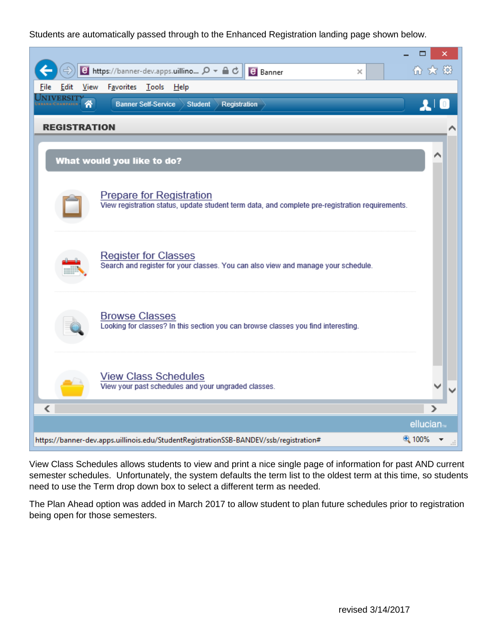### Students are automatically passed through to the Enhanced Registration landing page shown below.

|                                             | <b>e</b> https://banner-dev.apps.uillino $\Omega$ <del>▼</del> △ <b></b><br><b>B</b> Banner<br>× | 价太级                   |
|---------------------------------------------|--------------------------------------------------------------------------------------------------|-----------------------|
| Favorites<br>View<br>Edit<br>File           | <u>T</u> ools <u>H</u> elp                                                                       |                       |
| NIVERSIT<br>좀<br><b>Banner Self-Service</b> | <b>Student</b><br>Registration                                                                   | $\mathbf{r}$          |
| <b>REGISTRATION</b>                         |                                                                                                  |                       |
|                                             |                                                                                                  |                       |
| What would you like to do?                  |                                                                                                  |                       |
| <b>Prepare for Registration</b>             | View registration status, update student term data, and complete pre-registration requirements.  |                       |
| <b>Register for Classes</b>                 | Search and register for your classes. You can also view and manage your schedule.                |                       |
| <b>Browse Classes</b>                       | Looking for classes? In this section you can browse classes you find interesting.                |                       |
| <b>View Class Schedules</b><br>∢            | View your past schedules and your ungraded classes.                                              | ⋗                     |
|                                             |                                                                                                  | ellucian <sub>™</sub> |
|                                             | https://banner-dev.apps.uillinois.edu/StudentRegistrationSSB-BANDEV/ssb/registration#            | ⊕ 100%                |

View Class Schedules allows students to view and print a nice single page of information for past AND current semester schedules. Unfortunately, the system defaults the term list to the oldest term at this time, so students need to use the Term drop down box to select a different term as needed.

The Plan Ahead option was added in March 2017 to allow student to plan future schedules prior to registration being open for those semesters.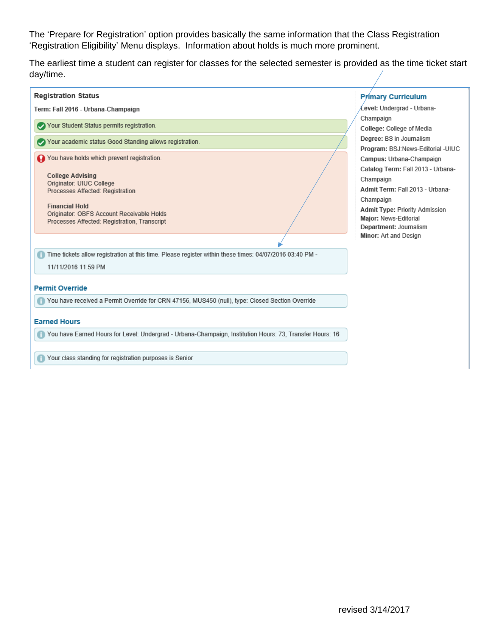The 'Prepare for Registration' option provides basically the same information that the Class Registration 'Registration Eligibility' Menu displays. Information about holds is much more prominent.

The earliest time a student can register for classes for the selected semester is provided as the time ticket start day/time.

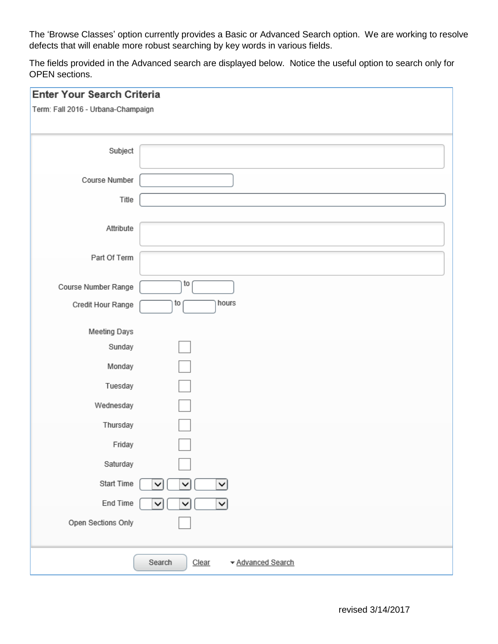The 'Browse Classes' option currently provides a Basic or Advanced Search option. We are working to resolve defects that will enable more robust searching by key words in various fields.

The fields provided in the Advanced search are displayed below. Notice the useful option to search only for OPEN sections.

| Enter Your Search Criteria         |                                      |
|------------------------------------|--------------------------------------|
| Term: Fall 2016 - Urbana-Champaign |                                      |
|                                    |                                      |
| Subject                            |                                      |
|                                    |                                      |
| Course Number                      |                                      |
| Title                              |                                      |
| Attribute                          |                                      |
|                                    |                                      |
| Part Of Term                       |                                      |
| Course Number Range                | to                                   |
| Credit Hour Range                  | hours<br>to                          |
| Meeting Days                       |                                      |
| Sunday                             |                                      |
| Monday                             |                                      |
| Tuesday                            |                                      |
| Wednesday                          |                                      |
| Thursday                           |                                      |
| Friday                             |                                      |
| Saturday                           |                                      |
| Start Time                         | $\checkmark$<br>╰<br>╰               |
| End Time                           | ✓<br>$\checkmark$<br>v               |
| Open Sections Only                 |                                      |
|                                    |                                      |
|                                    | ▼ Advanced Search<br>Search<br>Clear |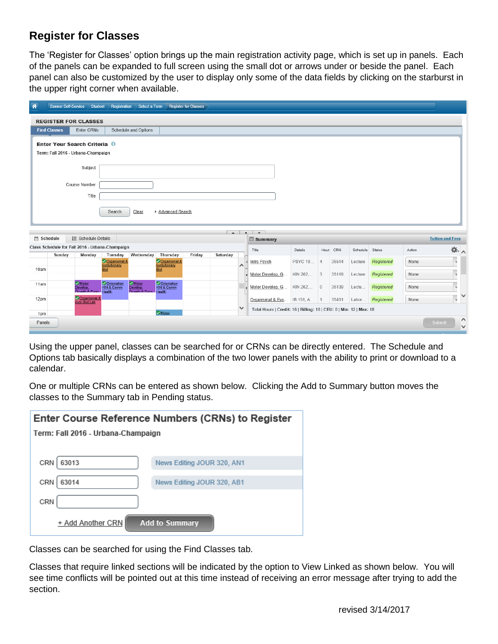### **Register for Classes**

The 'Register for Classes' option brings up the main registration activity page, which is set up in panels. Each of the panels can be expanded to full screen using the small dot or arrows under or beside the panel. Each panel can also be customized by the user to display only some of the data fields by clicking on the starburst in the upper right corner when available.

| 香          | <b>Banner Self-Service</b> | Student                                         |                                         | Registration Select a Term |                                          | <b>Register for Classes</b> |                |              |                                                                     |                |                |           |          |            |        |                          |              |
|------------|----------------------------|-------------------------------------------------|-----------------------------------------|----------------------------|------------------------------------------|-----------------------------|----------------|--------------|---------------------------------------------------------------------|----------------|----------------|-----------|----------|------------|--------|--------------------------|--------------|
|            |                            | <b>REGISTER FOR CLASSES</b>                     |                                         |                            |                                          |                             |                |              |                                                                     |                |                |           |          |            |        |                          |              |
|            | <b>Find Classes</b>        | <b>Enter CRNs</b>                               |                                         | Schedule and Options       |                                          |                             |                |              |                                                                     |                |                |           |          |            |        |                          |              |
|            |                            | Enter Your Search Criteria 0                    |                                         |                            |                                          |                             |                |              |                                                                     |                |                |           |          |            |        |                          |              |
|            |                            | Term: Fall 2016 - Urbana-Champaign              |                                         |                            |                                          |                             |                |              |                                                                     |                |                |           |          |            |        |                          |              |
|            |                            | Subject                                         |                                         |                            |                                          |                             |                |              |                                                                     |                |                |           |          |            |        |                          |              |
|            |                            |                                                 |                                         |                            |                                          |                             |                |              |                                                                     |                |                |           |          |            |        |                          |              |
|            |                            | Course Number                                   |                                         |                            |                                          |                             |                |              |                                                                     |                |                |           |          |            |        |                          |              |
|            |                            | Title                                           |                                         |                            |                                          |                             |                |              |                                                                     |                |                |           |          |            |        |                          |              |
|            |                            |                                                 | Search                                  | Clear                      | ▶ Advanced Search                        |                             |                |              |                                                                     |                |                |           |          |            |        |                          |              |
|            |                            |                                                 |                                         |                            |                                          |                             |                |              |                                                                     |                |                |           |          |            |        |                          |              |
|            |                            |                                                 |                                         |                            |                                          |                             | $\overline{A}$ | $\cdot$      | $\overline{\phantom{a}}$                                            |                |                |           |          |            |        |                          |              |
| 简 Schedule |                            | : Schedule Details                              |                                         |                            |                                          |                             |                |              | <b>E</b> Summary                                                    |                |                |           |          |            |        | <b>Tuition and Fees</b>  |              |
|            |                            | Class Schedule for Fall 2016 - Urbana-Champaign |                                         |                            |                                          |                             |                |              | Title                                                               | Details        |                | Hour: CRN | Schedule | Status     | Action | ※ ^                      |              |
|            | Sunday                     | Monday                                          | Tuesday<br>Organismal &<br>Evolutionary | Wednesday                  | Thursday<br>Organismal &<br>Evolutionary | Friday                      | Saturday       | ∧            | Intro Psych                                                         | <b>PSYC 10</b> | $\overline{4}$ | 35514     | Lecture  | Registered | None   |                          |              |
| 10am       |                            |                                                 | <b>Biol</b>                             |                            | <b>Biol</b>                              |                             |                |              | - Motor Develop, G                                                  | KIN 262, 3     |                | 35119     | Lecture  | Registered | None   |                          |              |
| 11am       |                            | Motor<br>Develop,                               | Orientation<br>KIN & Comm               | Motor<br>Develop.          | Orientation<br>KIN & Comm                |                             |                |              | Motor Develop, G                                                    | KIN 262        | $\mathbb{O}$   | 35139     | Lectu    | Registered | None   |                          |              |
|            |                            | Growth & Form                                   | <b>Health</b>                           | Growth & Form              | <b>Health</b>                            |                             |                |              |                                                                     |                |                |           |          |            |        |                          |              |
|            |                            |                                                 |                                         |                            |                                          |                             |                |              |                                                                     |                |                |           |          |            |        |                          | $\checkmark$ |
| 12pm       |                            | Organismal &<br>Evol Biol Lab                   |                                         |                            |                                          |                             |                | $\checkmark$ | Organismal & Evo IB 151, A                                          |                | 1              | 35431     | Labor    | Registered | None   | $\overline{\phantom{a}}$ |              |
| 1pm        |                            |                                                 |                                         |                            | Motor                                    |                             |                |              | Total Hours   Credit: 16   Billing: 16   CEU: 0   Min: 12   Max: 18 |                |                |           |          |            |        |                          | Λ            |

Using the upper panel, classes can be searched for or CRNs can be directly entered. The Schedule and Options tab basically displays a combination of the two lower panels with the ability to print or download to a calendar.

One or multiple CRNs can be entered as shown below. Clicking the Add to Summary button moves the classes to the Summary tab in Pending status.

| Enter Course Reference Numbers (CRNs) to Register |                            |  |  |  |  |  |  |  |
|---------------------------------------------------|----------------------------|--|--|--|--|--|--|--|
| Term: Fall 2016 - Urbana-Champaign                |                            |  |  |  |  |  |  |  |
|                                                   |                            |  |  |  |  |  |  |  |
| 63013<br>CRN                                      | News Editing JOUR 320, AN1 |  |  |  |  |  |  |  |
| 63014<br>CRN                                      | News Editing JOUR 320, AB1 |  |  |  |  |  |  |  |
| CRN                                               |                            |  |  |  |  |  |  |  |
| + Add Another CRN                                 | <b>Add to Summary</b>      |  |  |  |  |  |  |  |

Classes can be searched for using the Find Classes tab.

Classes that require linked sections will be indicated by the option to View Linked as shown below. You will see time conflicts will be pointed out at this time instead of receiving an error message after trying to add the section.